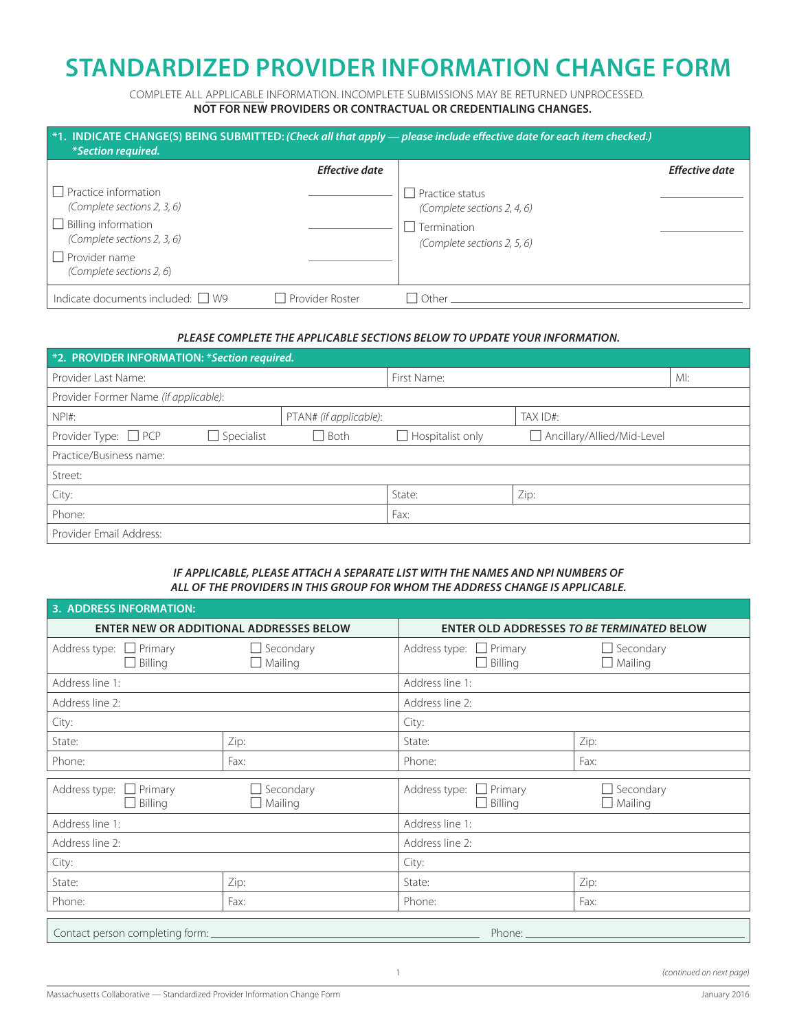## **STANDARDIZED PROVIDER INFORMATION CHANGE FORM**

COMPLETE ALL APPLICABLE INFORMATION. INCOMPLETE SUBMISSIONS MAY BE RETURNED UNPROCESSED. **NOT FOR NEW PROVIDERS OR CONTRACTUAL OR CREDENTIALING CHANGES.**

| <i>*Section required.</i>                                  |                       | *1. INDICATE CHANGE(S) BEING SUBMITTED: (Check all that apply - please include effective date for each item checked.) |                       |
|------------------------------------------------------------|-----------------------|-----------------------------------------------------------------------------------------------------------------------|-----------------------|
|                                                            | <b>Effective date</b> |                                                                                                                       | <b>Effective date</b> |
| $\Box$ Practice information<br>(Complete sections 2, 3, 6) |                       | Practice status<br>(Complete sections 2, 4, 6)                                                                        |                       |
| $\Box$ Billing information<br>(Complete sections 2, 3, 6)  |                       | $\sqcap$ Termination<br>(Complete sections 2, 5, 6)                                                                   |                       |
| $\Box$ Provider name<br>(Complete sections 2, 6)           |                       |                                                                                                                       |                       |
| Indicate documents included: $\Box$ W9                     | □ Provider Roster     | Other                                                                                                                 |                       |

## *PLEASE COMPLETE THE APPLICABLE SECTIONS BELOW TO UPDATE YOUR INFORMATION.*

| *2. PROVIDER INFORMATION: *Section required. |                   |                        |                         |                              |     |
|----------------------------------------------|-------------------|------------------------|-------------------------|------------------------------|-----|
| Provider Last Name:                          |                   |                        | First Name:             |                              | MI: |
| Provider Former Name (if applicable):        |                   |                        |                         |                              |     |
| $NPI#$ :                                     |                   | PTAN# (if applicable): |                         | TAX ID#:                     |     |
| Provider Type: $\Box$ PCP                    | $\Box$ Specialist | $\Box$ Both            | $\Box$ Hospitalist only | □ Ancillary/Allied/Mid-Level |     |
| Practice/Business name:                      |                   |                        |                         |                              |     |
| Street:                                      |                   |                        |                         |                              |     |
| City:                                        |                   |                        | State:                  | Zip:                         |     |
| Phone:                                       |                   |                        | Fax:                    |                              |     |
| Provider Email Address:                      |                   |                        |                         |                              |     |

## *IF APPLICABLE, PLEASE ATTACH A SEPARATE LIST WITH THE NAMES AND NPI NUMBERS OF ALL OF THE PROVIDERS IN THIS GROUP FOR WHOM THE ADDRESS CHANGE IS APPLICABLE.*

| <b>ENTER NEW OR ADDITIONAL ADDRESSES BELOW</b> |                                    |                                                | <b>ENTER OLD ADDRESSES TO BE TERMINATED BELOW</b> |  |  |
|------------------------------------------------|------------------------------------|------------------------------------------------|---------------------------------------------------|--|--|
| Address type: $\Box$ Primary<br>$\Box$ Billing | $\Box$ Secondary<br>$\Box$ Mailing | Address type: $\Box$ Primary<br>$\Box$ Billing | $\Box$ Secondary<br>$\Box$ Mailing                |  |  |
| Address line 1:                                |                                    | Address line 1:                                |                                                   |  |  |
| Address line 2:                                |                                    | Address line 2:                                |                                                   |  |  |
| City:                                          |                                    | City:                                          |                                                   |  |  |
| State:                                         | Zip:                               | State:                                         | Zip:                                              |  |  |
| Phone:                                         | Fax:                               | Phone:                                         | Fax:                                              |  |  |
| Address type: $\Box$ Primary<br>$\Box$ Billing | Secondary<br>$\Box$ Mailing        | Address type: $\Box$ Primary<br>$\Box$ Billing | $\Box$ Secondary<br>$\Box$ Mailing                |  |  |
| Address line 1:                                |                                    | Address line 1:                                |                                                   |  |  |
| Address line 2:                                |                                    | Address line 2:                                |                                                   |  |  |
| City:                                          |                                    | City:                                          |                                                   |  |  |
| State:                                         | Zip:                               | State:                                         | Zip:                                              |  |  |
| Phone:                                         | Fax:                               | Phone:                                         | Fax:                                              |  |  |